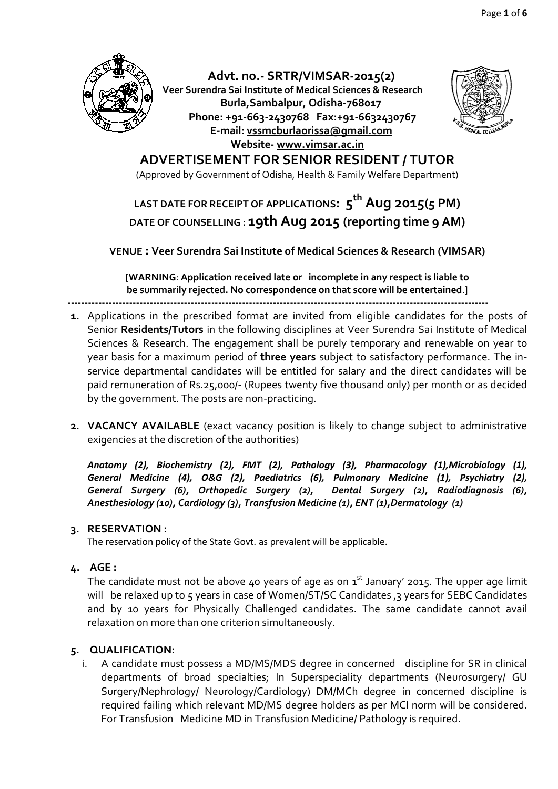

**Advt. no.- SRTR/VIMSAR-2015(2) Veer Surendra Sai Institute of Medical Sciences & Research Burla,Sambalpur, Odisha-768017 Phone: +91-663-2430768 Fax:+91-6632430767 E-mail: [vssmcburlaorissa@gmail.com](mailto:vssmcburlaorissa@gmail.com) Website- [www.vimsar.ac.in](http://www.vimsar.ac.in/)**



### **ADVERTISEMENT FOR SENIOR RESIDENT / TUTOR**

(Approved by Government of Odisha, Health & Family Welfare Department)

## **LAST DATE FOR RECEIPT OF APPLICATIONS: 5 th Aug 2015(5 PM) DATE OF COUNSELLING : 19th Aug 2015 (reporting time 9 AM)**

**VENUE : Veer Surendra Sai Institute of Medical Sciences & Research (VIMSAR)**

**[WARNING**: **Application received late or incomplete in any respect is liable to be summarily rejected. No correspondence on that score will be entertained**.]

---------------------------------------------------------------------------------------------------------------------------

- **1.** Applications in the prescribed format are invited from eligible candidates for the posts of Senior **Residents/Tutors** in the following disciplines at Veer Surendra Sai Institute of Medical Sciences & Research. The engagement shall be purely temporary and renewable on year to year basis for a maximum period of **three years** subject to satisfactory performance. The inservice departmental candidates will be entitled for salary and the direct candidates will be paid remuneration of Rs.25,000/- (Rupees twenty five thousand only) per month or as decided by the government. The posts are non-practicing.
- **2. VACANCY AVAILABLE** (exact vacancy position is likely to change subject to administrative exigencies at the discretion of the authorities)

*Anatomy (2), Biochemistry (2), FMT (2), Pathology (3), Pharmacology (1),Microbiology (1), General Medicine (4), O&G (2), Paediatrics (6), Pulmonary Medicine (1), Psychiatry (2), General Surgery (6), Orthopedic Surgery (2), Dental Surgery (2), Radiodiagnosis (6), Anesthesiology (10), Cardiology (3), Transfusion Medicine (1), ENT (1),Dermatology (1)*

#### **3. RESERVATION :**

The reservation policy of the State Govt. as prevalent will be applicable.

#### **4. AGE :**

The candidate must not be above 40 years of age as on  $1^{st}$  January' 2015. The upper age limit vill be relaxed up to 5 years in case of Women/ST/SC Candidates , 3 years for SEBC Candidates and by 10 years for Physically Challenged candidates. The same candidate cannot avail relaxation on more than one criterion simultaneously.

#### **5. QUALIFICATION:**

i. A candidate must possess a MD/MS/MDS degree in concerned discipline for SR in clinical departments of broad specialties; In Superspeciality departments (Neurosurgery/ GU Surgery/Nephrology/ Neurology/Cardiology) DM/MCh degree in concerned discipline is required failing which relevant MD/MS degree holders as per MCI norm will be considered. For Transfusion Medicine MD in Transfusion Medicine/ Pathology is required.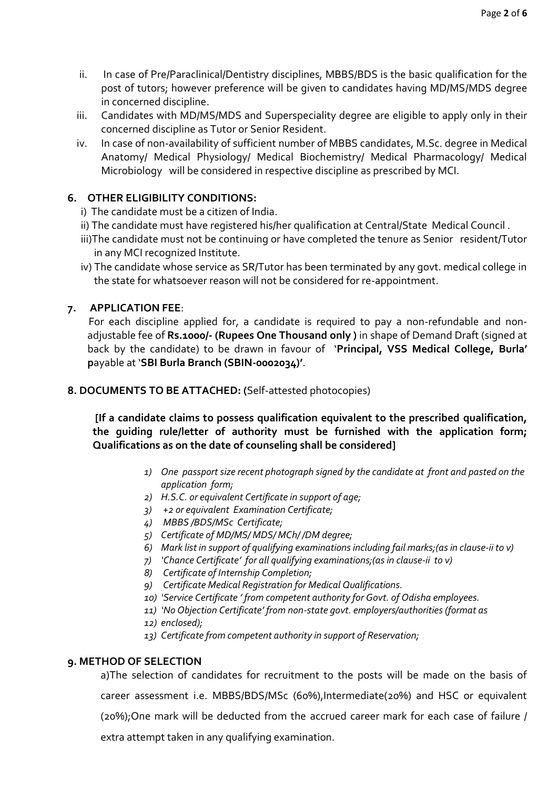- ii. In case of Pre/Paraclinical/Dentistry disciplines, MBBS/BDS is the basic qualification for the post of tutors; however preference will be given to candidates having MD/MS/MDS degree in concerned discipline.
- iii. Candidates with MD/MS/MDS and Superspeciality degree are eligible to apply only in their concerned discipline as Tutor or Senior Resident.
- iv. In case of non-availability of sufficient number of MBBS candidates, M.Sc. degree in Medical Anatomy/ Medical Physiology/ Medical Biochemistry/ Medical Pharmacology/ Medical Microbiology will be considered in respective discipline as prescribed by MCI.

#### **6. OTHER ELIGIBILITY CONDITIONS:**

- i) The candidate must be a citizen of India.
- ii) The candidate must have registered his/her qualification at Central/State Medical Council .
- iii)The candidate must not be continuing or have completed the tenure as Senior resident/Tutor in any MCI recognized Institute.
- iv) The candidate whose service as SR/Tutor has been terminated by any govt. medical college in the state for whatsoever reason will not be considered for re-appointment.

#### **7. APPLICATION FEE**:

For each discipline applied for, a candidate is required to pay a non-refundable and nonadjustable fee of **Rs.1000/- (Rupees One Thousand only )** in shape of Demand Draft (signed at back by the candidate) to be drawn in favour of '**Principal, VSS Medical College, Burla' p**ayable at '**SBI Burla Branch (SBIN-0002034)'**.

#### **8. DOCUMENTS TO BE ATTACHED: (**Self-attested photocopies)

**[If a candidate claims to possess qualification equivalent to the prescribed qualification, the guiding rule/letter of authority must be furnished with the application form; Qualifications as on the date of counseling shall be considered]**

- *1) One passport size recent photograph signed by the candidate at front and pasted on the application form;*
- *2) H.S.C. or equivalent Certificate in support of age;*
- *3) +2 or equivalent Examination Certificate;*
- *4) MBBS /BDS/MSc Certificate;*
- *5) Certificate of MD/MS/ MDS/ MCh/ /DM degree;*
- *6) Mark list in support of qualifying examinations including fail marks;(as in clause-ii to v)*
- *7) 'Chance Certificate' for all qualifying examinations;(as in clause-ii to v)*
- *8) Certificate of Internship Completion;*
- *9) Certificate Medical Registration for Medical Qualifications.*
- *10) 'Service Certificate ' from competent authority for Govt. of Odisha employees.*
- *11) 'No Objection Certificate' from non-state govt. employers/authorities (format as*
- *12) enclosed);*
- *13) Certificate from competent authority in support of Reservation;*

#### **9. METHOD OF SELECTION**

a)The selection of candidates for recruitment to the posts will be made on the basis of career assessment i.e. MBBS/BDS/MSc (60%),Intermediate(20%) and HSC or equivalent (20%);One mark will be deducted from the accrued career mark for each case of failure / extra attempt taken in any qualifying examination.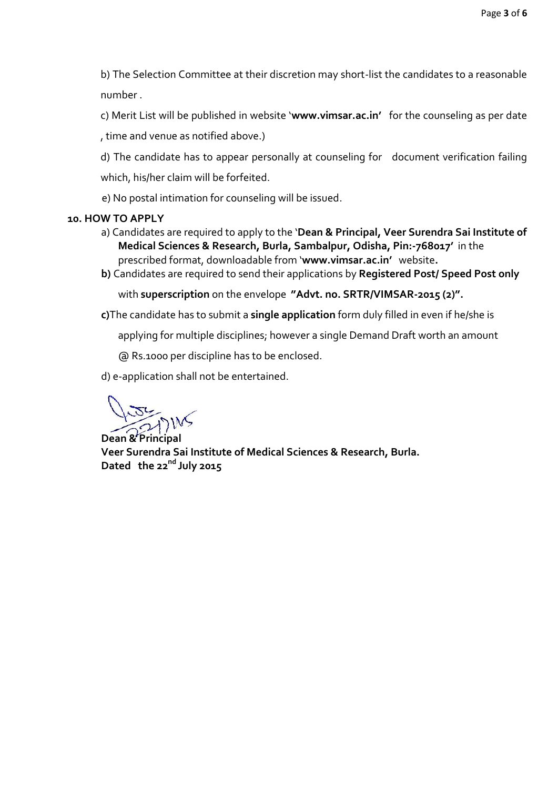b) The Selection Committee at their discretion may short-list the candidates to a reasonable number .

c) Merit List will be published in website '**www.vimsar.ac.in'** for the counseling as per date , time and venue as notified above.)

d) The candidate has to appear personally at counseling for document verification failing which, his/her claim will be forfeited.

e) No postal intimation for counseling will be issued.

#### **10. HOW TO APPLY**

- a) Candidates are required to apply to the '**Dean & Principal, Veer Surendra Sai Institute of Medical Sciences & Research, Burla, Sambalpur, Odisha, Pin:-768017'** in the prescribed format, downloadable from '**www.vimsar.ac.in'** website**.**
- **b)** Candidates are required to send their applications by **Registered Post/ Speed Post only**

with **superscription** on the envelope **"Advt. no. SRTR/VIMSAR-2015 (2)".** 

**c)**The candidate has to submit a **single application** form duly filled in even if he/she is

applying for multiple disciplines; however a single Demand Draft worth an amount

@ Rs.1000 per discipline has to be enclosed.

d) e-application shall not be entertained.

**Dean & Principal**

**Veer Surendra Sai Institute of Medical Sciences & Research, Burla. Dated the 22nd July 2015**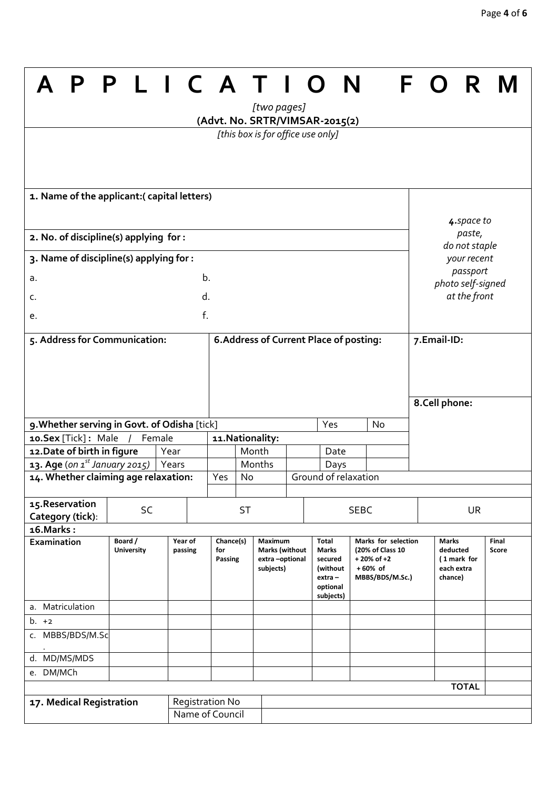٦

|                                                                                   |                              | PLICATION          |                 |                                         | [two pages]                       |                                                                 | (Advt. No. SRTR/VIMSAR-2015(2) |                                                                                                         |  |             | F O R                                      |                                   |                |
|-----------------------------------------------------------------------------------|------------------------------|--------------------|-----------------|-----------------------------------------|-----------------------------------|-----------------------------------------------------------------|--------------------------------|---------------------------------------------------------------------------------------------------------|--|-------------|--------------------------------------------|-----------------------------------|----------------|
|                                                                                   |                              |                    |                 |                                         | [this box is for office use only] |                                                                 |                                |                                                                                                         |  |             |                                            |                                   |                |
|                                                                                   |                              |                    |                 |                                         |                                   |                                                                 |                                |                                                                                                         |  |             |                                            |                                   |                |
| 1. Name of the applicant: (capital letters)                                       |                              |                    |                 |                                         |                                   |                                                                 |                                |                                                                                                         |  |             |                                            |                                   |                |
| 2. No. of discipline(s) applying for :                                            |                              |                    |                 |                                         |                                   |                                                                 |                                | 4. space to<br>paste,                                                                                   |  |             |                                            |                                   |                |
| 3. Name of discipline(s) applying for :                                           |                              |                    |                 |                                         |                                   |                                                                 |                                | do not staple<br>your recent                                                                            |  |             |                                            |                                   |                |
| b.<br>a.                                                                          |                              |                    |                 |                                         |                                   |                                                                 |                                | passport                                                                                                |  |             |                                            |                                   |                |
|                                                                                   |                              |                    | d.              |                                         |                                   |                                                                 |                                |                                                                                                         |  |             |                                            | photo self-signed<br>at the front |                |
| c.                                                                                |                              |                    |                 |                                         |                                   |                                                                 |                                |                                                                                                         |  |             |                                            |                                   |                |
| f.<br>e.                                                                          |                              |                    |                 |                                         |                                   |                                                                 |                                |                                                                                                         |  |             |                                            |                                   |                |
| 5. Address for Communication:                                                     |                              |                    |                 | 6. Address of Current Place of posting: |                                   |                                                                 |                                |                                                                                                         |  | 7.Email-ID: |                                            |                                   |                |
|                                                                                   |                              |                    |                 |                                         |                                   |                                                                 |                                |                                                                                                         |  |             |                                            |                                   |                |
|                                                                                   |                              |                    |                 |                                         |                                   |                                                                 |                                |                                                                                                         |  |             |                                            |                                   |                |
|                                                                                   |                              |                    |                 |                                         |                                   |                                                                 |                                |                                                                                                         |  |             |                                            |                                   |                |
|                                                                                   |                              |                    |                 |                                         |                                   |                                                                 |                                | 8.Cell phone:                                                                                           |  |             |                                            |                                   |                |
| 9. Whether serving in Govt. of Odisha [tick]                                      |                              |                    |                 | Yes<br><b>No</b>                        |                                   |                                                                 |                                |                                                                                                         |  |             |                                            |                                   |                |
| Female<br>10.Sex [Tick]: Male                                                     |                              |                    |                 | 11. Nationality:                        |                                   |                                                                 |                                |                                                                                                         |  |             |                                            |                                   |                |
| 12. Date of birth in figure<br>Year<br>Years                                      |                              |                    | Month<br>Months |                                         | Date<br>Days                      |                                                                 |                                |                                                                                                         |  |             |                                            |                                   |                |
| <b>13. Age</b> (on $1^{st}$ January 2015)<br>14. Whether claiming age relaxation: |                              |                    | Yes<br>No       |                                         |                                   |                                                                 | Ground of relaxation           |                                                                                                         |  |             |                                            |                                   |                |
|                                                                                   |                              |                    |                 |                                         |                                   |                                                                 |                                |                                                                                                         |  |             |                                            |                                   |                |
| 15. Reservation<br>Category (tick):                                               | SC                           |                    |                 | <b>ST</b>                               |                                   |                                                                 | <b>SEBC</b>                    |                                                                                                         |  | <b>UR</b>   |                                            |                                   |                |
| 16. Marks:                                                                        |                              |                    |                 |                                         |                                   |                                                                 |                                |                                                                                                         |  |             |                                            |                                   |                |
| Examination                                                                       | Board /<br><b>University</b> | Year of<br>passing | for             | Chance(s)<br>Passing                    |                                   | Maximum<br><b>Marks (without</b><br>extra-optional<br>subjects) |                                | Marks for selection<br>(20% of Class 10<br>$+20\%$ of $+2$<br>$+60%$ of<br>MBBS/BDS/M.Sc.)<br>subjects) |  |             | Marks<br>deducted<br>each extra<br>chance) | (1 mark for                       | Final<br>Score |
| a. Matriculation                                                                  |                              |                    |                 |                                         |                                   |                                                                 |                                |                                                                                                         |  |             |                                            |                                   |                |
| $b. +2$                                                                           |                              |                    |                 |                                         |                                   |                                                                 |                                |                                                                                                         |  |             |                                            |                                   |                |
| c. MBBS/BDS/M.Sc                                                                  |                              |                    |                 |                                         |                                   |                                                                 |                                |                                                                                                         |  |             |                                            |                                   |                |
| d. MD/MS/MDS                                                                      |                              |                    |                 |                                         |                                   |                                                                 |                                |                                                                                                         |  |             |                                            |                                   |                |
| e. DM/MCh                                                                         |                              |                    |                 |                                         |                                   |                                                                 |                                |                                                                                                         |  |             |                                            |                                   |                |
| <b>TOTAL</b>                                                                      |                              |                    |                 |                                         |                                   |                                                                 |                                |                                                                                                         |  |             |                                            |                                   |                |
| 17. Medical Registration                                                          |                              |                    | Registration No |                                         |                                   |                                                                 |                                |                                                                                                         |  |             |                                            |                                   |                |
|                                                                                   |                              |                    | Name of Council |                                         |                                   |                                                                 |                                |                                                                                                         |  |             |                                            |                                   |                |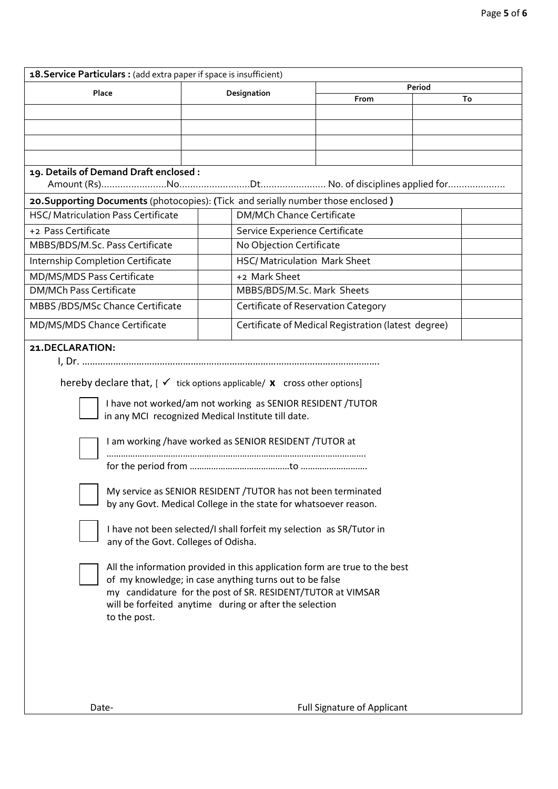| 18. Service Particulars : (add extra paper if space is insufficient)                                                   |                                     |                                                     |        |  |  |  |  |  |  |
|------------------------------------------------------------------------------------------------------------------------|-------------------------------------|-----------------------------------------------------|--------|--|--|--|--|--|--|
| Place                                                                                                                  | Designation                         |                                                     | Period |  |  |  |  |  |  |
|                                                                                                                        |                                     | From                                                | To     |  |  |  |  |  |  |
|                                                                                                                        |                                     |                                                     |        |  |  |  |  |  |  |
|                                                                                                                        |                                     |                                                     |        |  |  |  |  |  |  |
|                                                                                                                        |                                     |                                                     |        |  |  |  |  |  |  |
|                                                                                                                        |                                     |                                                     |        |  |  |  |  |  |  |
| 19. Details of Demand Draft enclosed :                                                                                 |                                     |                                                     |        |  |  |  |  |  |  |
|                                                                                                                        |                                     |                                                     |        |  |  |  |  |  |  |
| 20. Supporting Documents (photocopies): (Tick and serially number those enclosed)                                      |                                     |                                                     |        |  |  |  |  |  |  |
| <b>HSC/ Matriculation Pass Certificate</b>                                                                             |                                     | <b>DM/MCh Chance Certificate</b>                    |        |  |  |  |  |  |  |
| +2 Pass Certificate                                                                                                    |                                     | Service Experience Certificate                      |        |  |  |  |  |  |  |
| MBBS/BDS/M.Sc. Pass Certificate                                                                                        |                                     | No Objection Certificate                            |        |  |  |  |  |  |  |
| Internship Completion Certificate                                                                                      |                                     | <b>HSC/ Matriculation Mark Sheet</b>                |        |  |  |  |  |  |  |
| MD/MS/MDS Pass Certificate                                                                                             | +2 Mark Sheet                       |                                                     |        |  |  |  |  |  |  |
| <b>DM/MCh Pass Certificate</b>                                                                                         |                                     | MBBS/BDS/M.Sc. Mark Sheets                          |        |  |  |  |  |  |  |
| MBBS /BDS/MSc Chance Certificate                                                                                       | Certificate of Reservation Category |                                                     |        |  |  |  |  |  |  |
| MD/MS/MDS Chance Certificate                                                                                           |                                     | Certificate of Medical Registration (latest degree) |        |  |  |  |  |  |  |
| 21. DECLARATION:                                                                                                       |                                     |                                                     |        |  |  |  |  |  |  |
|                                                                                                                        |                                     |                                                     |        |  |  |  |  |  |  |
|                                                                                                                        |                                     |                                                     |        |  |  |  |  |  |  |
| hereby declare that, $[\sqrt{1 + \frac{1}{n}}]$ tick options applicable/ <b>x</b> cross other options]                 |                                     |                                                     |        |  |  |  |  |  |  |
| I have not worked/am not working as SENIOR RESIDENT /TUTOR                                                             |                                     |                                                     |        |  |  |  |  |  |  |
| in any MCI recognized Medical Institute till date.                                                                     |                                     |                                                     |        |  |  |  |  |  |  |
| I am working /have worked as SENIOR RESIDENT /TUTOR at                                                                 |                                     |                                                     |        |  |  |  |  |  |  |
|                                                                                                                        |                                     |                                                     |        |  |  |  |  |  |  |
|                                                                                                                        |                                     |                                                     |        |  |  |  |  |  |  |
|                                                                                                                        |                                     |                                                     |        |  |  |  |  |  |  |
| My service as SENIOR RESIDENT / TUTOR has not been terminated                                                          |                                     |                                                     |        |  |  |  |  |  |  |
| by any Govt. Medical College in the state for whatsoever reason.                                                       |                                     |                                                     |        |  |  |  |  |  |  |
| I have not been selected/I shall forfeit my selection as SR/Tutor in                                                   |                                     |                                                     |        |  |  |  |  |  |  |
| any of the Govt. Colleges of Odisha.                                                                                   |                                     |                                                     |        |  |  |  |  |  |  |
|                                                                                                                        |                                     |                                                     |        |  |  |  |  |  |  |
| All the information provided in this application form are true to the best                                             |                                     |                                                     |        |  |  |  |  |  |  |
| of my knowledge; in case anything turns out to be false                                                                |                                     |                                                     |        |  |  |  |  |  |  |
| my candidature for the post of SR. RESIDENT/TUTOR at VIMSAR<br>will be forfeited anytime during or after the selection |                                     |                                                     |        |  |  |  |  |  |  |
| to the post.                                                                                                           |                                     |                                                     |        |  |  |  |  |  |  |
|                                                                                                                        |                                     |                                                     |        |  |  |  |  |  |  |
|                                                                                                                        |                                     |                                                     |        |  |  |  |  |  |  |
|                                                                                                                        |                                     |                                                     |        |  |  |  |  |  |  |
|                                                                                                                        |                                     |                                                     |        |  |  |  |  |  |  |
|                                                                                                                        |                                     |                                                     |        |  |  |  |  |  |  |
| Date-                                                                                                                  |                                     | <b>Full Signature of Applicant</b>                  |        |  |  |  |  |  |  |